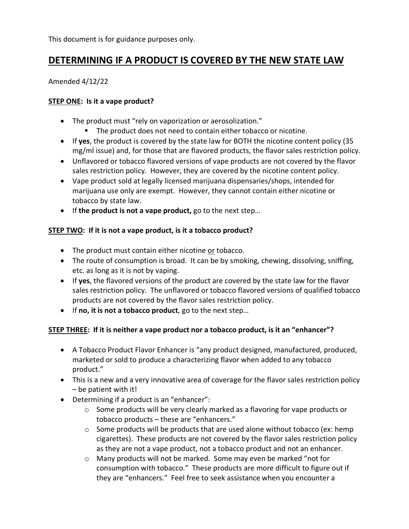This document is for guidance purposes only.

# **DETERMINING IF A PRODUCT IS COVERED BY THE NEW STATE LAW**

#### Amended 4/12/22

#### **STEP ONE: Is it a vape product?**

- The product must "rely on vaporization or aerosolization."
	- The product does not need to contain either tobacco or nicotine.
- If **yes**, the product is covered by the state law for BOTH the nicotine content policy (35 mg/ml issue) and, for those that are flavored products, the flavor sales restriction policy.
- Unflavored or tobacco flavored versions of vape products are not covered by the flavor sales restriction policy. However, they are covered by the nicotine content policy.
- Vape product sold at legally licensed marijuana dispensaries/shops, intended for marijuana use only are exempt. However, they cannot contain either nicotine or tobacco by state law.
- If **the product is not a vape product,** go to the next step…

### **STEP TWO: If it is not a vape product, is it a tobacco product?**

- The product must contain either nicotine or tobacco.
- The route of consumption is broad. It can be by smoking, chewing, dissolving, sniffing, etc. as long as it is not by vaping.
- If **yes**, the flavored versions of the product are covered by the state law for the flavor sales restriction policy. The unflavored or tobacco flavored versions of qualified tobacco products are not covered by the flavor sales restriction policy.
- If **no, it is not a tobacco product**, go to the next step…

### **STEP THREE: If it is neither a vape product nor a tobacco product, is it an "enhancer"?**

- A Tobacco Product Flavor Enhancer is "any product designed, manufactured, produced, marketed or sold to produce a characterizing flavor when added to any tobacco product."
- This is a new and a very innovative area of coverage for the flavor sales restriction policy – be patient with it!
- Determining if a product is an "enhancer":
	- o Some products will be very clearly marked as a flavoring for vape products or tobacco products – these are "enhancers."
	- o Some products will be products that are used alone without tobacco (ex: hemp cigarettes). These products are not covered by the flavor sales restriction policy as they are not a vape product, not a tobacco product and not an enhancer.
	- o Many products will not be marked. Some may even be marked "not for consumption with tobacco." These products are more difficult to figure out if they are "enhancers." Feel free to seek assistance when you encounter a